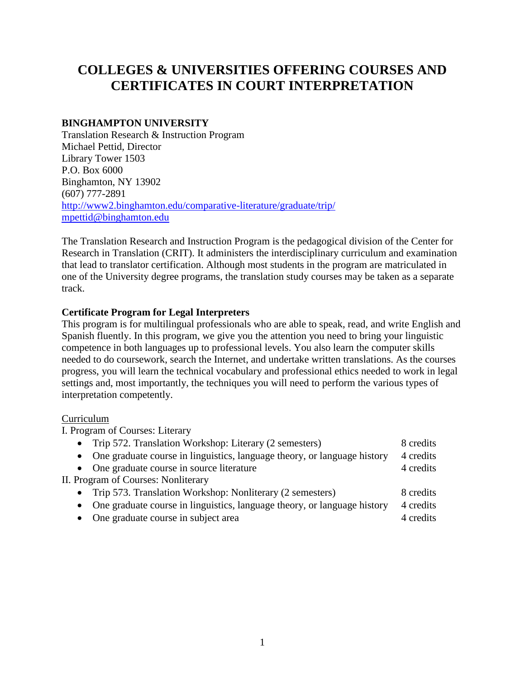# **COLLEGES & UNIVERSITIES OFFERING COURSES AND CERTIFICATES IN COURT INTERPRETATION**

#### **BINGHAMPTON UNIVERSITY**

Translation Research & Instruction Program Michael Pettid, Director Library Tower 1503 P.O. Box 6000 Binghamton, NY 13902 (607) 777-2891 <http://www2.binghamton.edu/comparative-literature/graduate/trip/> [mpettid@binghamton.edu](mailto:mpettid@binghamton.edu)

The Translation Research and Instruction Program is the pedagogical division of the Center for Research in Translation (CRIT). It administers the interdisciplinary curriculum and examination that lead to translator certification. Although most students in the program are matriculated in one of the University degree programs, the translation study courses may be taken as a separate track.

#### **Certificate Program for Legal Interpreters**

This program is for multilingual professionals who are able to speak, read, and write English and Spanish fluently. In this program, we give you the attention you need to bring your linguistic competence in both languages up to professional levels. You also learn the computer skills needed to do coursework, search the Internet, and undertake written translations. As the courses progress, you will learn the technical vocabulary and professional ethics needed to work in legal settings and, most importantly, the techniques you will need to perform the various types of interpretation competently.

#### Curriculum

I. Program of Courses: Literary

| • Trip 572. Translation Workshop: Literary (2 semesters)                   | 8 credits |
|----------------------------------------------------------------------------|-----------|
| • One graduate course in linguistics, language theory, or language history | 4 credits |
| • One graduate course in source literature                                 | 4 credits |
| II. Program of Courses: Nonliterary                                        |           |
| Trip 573. Translation Workshop: Nonliterary (2 semesters)<br>$\bullet$     | 8 credits |
| • One graduate course in linguistics, language theory, or language history | 4 credits |
| One graduate course in subject area<br>$\bullet$                           | 4 credits |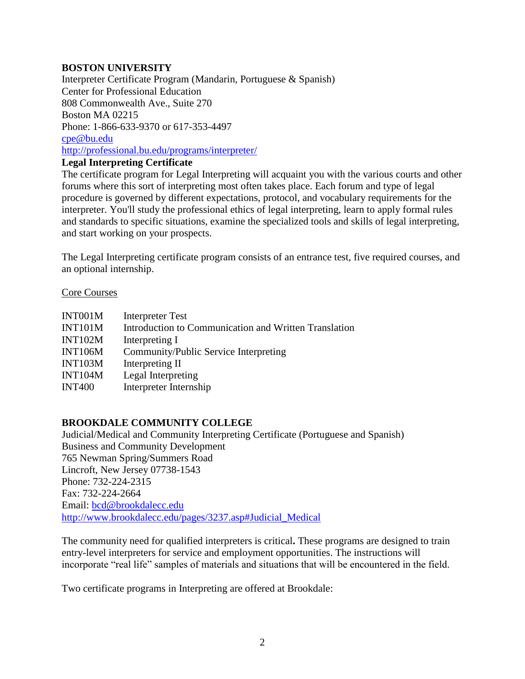#### **BOSTON UNIVERSITY**

Interpreter Certificate Program (Mandarin, Portuguese & Spanish) Center for Professional Education 808 Commonwealth Ave., Suite 270 Boston MA 02215 Phone: 1-866-633-9370 or 617-353-4497 [cpe@bu.edu](mailto:cpe@bu.edu)  <http://professional.bu.edu/programs/interpreter/> **Legal Interpreting Certificate**

The certificate program for Legal Interpreting will acquaint you with the various courts and other forums where this sort of interpreting most often takes place. Each forum and type of legal procedure is governed by different expectations, protocol, and vocabulary requirements for the interpreter. You'll study the professional ethics of legal interpreting, learn to apply formal rules and standards to specific situations, examine the specialized tools and skills of legal interpreting, and start working on your prospects.

The Legal Interpreting certificate program consists of an entrance test, five required courses, and an optional internship.

#### Core Courses

| INT001M        | Interpreter Test                                      |
|----------------|-------------------------------------------------------|
| <b>INT101M</b> | Introduction to Communication and Written Translation |
| <b>INT102M</b> | Interpreting I                                        |
| <b>INT106M</b> | Community/Public Service Interpreting                 |
| <b>INT103M</b> | Interpreting II                                       |
| <b>INT104M</b> | Legal Interpreting                                    |
| <b>INT400</b>  | Interpreter Internship                                |

## **BROOKDALE COMMUNITY COLLEGE**

Judicial/Medical and Community Interpreting Certificate (Portuguese and Spanish) Business and Community Development 765 Newman Spring/Summers Road Lincroft, New Jersey 07738-1543 Phone: 732-224-2315 Fax: 732-224-2664 Email: [bcd@brookdalecc.edu](mailto:bcd@brookdalecc.edu) [http://www.brookdalecc.edu/pages/3237.asp#Judicial\\_Medical](http://www.brookdalecc.edu/pages/3237.asp#Judicial_Medical)

The community need for qualified interpreters is critical**.** These programs are designed to train entry-level interpreters for service and employment opportunities. The instructions will incorporate "real life" samples of materials and situations that will be encountered in the field.

Two certificate programs in Interpreting are offered at Brookdale: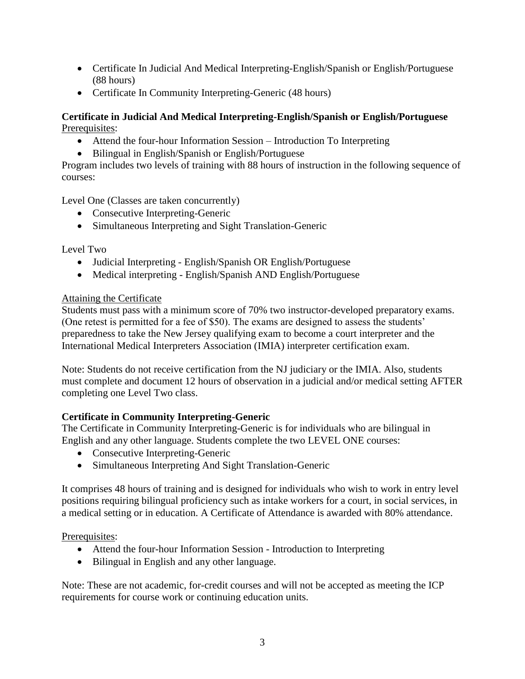- Certificate In Judicial And Medical Interpreting-English/Spanish or English/Portuguese (88 hours)
- Certificate In Community Interpreting-Generic (48 hours)

## **Certificate in Judicial And Medical Interpreting-English/Spanish or English/Portuguese** Prerequisites:

- Attend the four-hour Information Session Introduction To Interpreting
- Bilingual in English/Spanish or English/Portuguese

Program includes two levels of training with 88 hours of instruction in the following sequence of courses:

Level One (Classes are taken concurrently)

- Consecutive Interpreting-Generic
- Simultaneous Interpreting and Sight Translation-Generic

Level Two

- Judicial Interpreting English/Spanish OR English/Portuguese
- Medical interpreting English/Spanish AND English/Portuguese

## Attaining the Certificate

Students must pass with a minimum score of 70% two instructor-developed preparatory exams. (One retest is permitted for a fee of \$50). The exams are designed to assess the students' preparedness to take the New Jersey qualifying exam to become a court interpreter and the International Medical Interpreters Association (IMIA) interpreter certification exam.

Note: Students do not receive certification from the NJ judiciary or the IMIA. Also, students must complete and document 12 hours of observation in a judicial and/or medical setting AFTER completing one Level Two class.

## **Certificate in Community Interpreting-Generic**

The Certificate in Community Interpreting-Generic is for individuals who are bilingual in English and any other language. Students complete the two LEVEL ONE courses:

- Consecutive Interpreting-Generic
- Simultaneous Interpreting And Sight Translation-Generic

It comprises 48 hours of training and is designed for individuals who wish to work in entry level positions requiring bilingual proficiency such as intake workers for a court, in social services, in a medical setting or in education. A Certificate of Attendance is awarded with 80% attendance.

Prerequisites:

- Attend the four-hour Information Session Introduction to Interpreting
- Bilingual in English and any other language.

Note: These are not academic, for-credit courses and will not be accepted as meeting the ICP requirements for course work or continuing education units.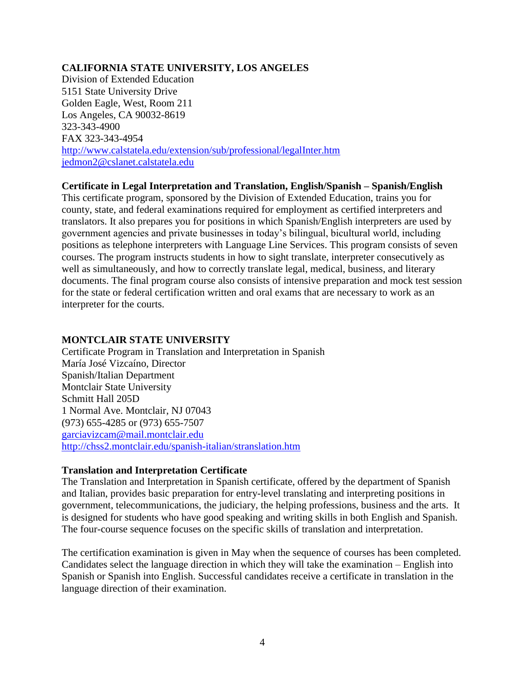#### **CALIFORNIA STATE UNIVERSITY, LOS ANGELES**

Division of Extended Education 5151 State University Drive Golden Eagle, West, Room 211 Los Angeles, CA 90032-8619 323-343-4900 FAX 323-343-4954 <http://www.calstatela.edu/extension/sub/professional/legalInter.htm> [jedmon2@cslanet.calstatela.edu](mailto:jedmon2@cslanet.calstatela.edu)

#### **Certificate in Legal Interpretation and Translation, English/Spanish – Spanish/English**

This certificate program, sponsored by the Division of Extended Education, trains you for county, state, and federal examinations required for employment as certified interpreters and translators. It also prepares you for positions in which Spanish/English interpreters are used by government agencies and private businesses in today's bilingual, bicultural world, including positions as telephone interpreters with Language Line Services. This program consists of seven courses. The program instructs students in how to sight translate, interpreter consecutively as well as simultaneously, and how to correctly translate legal, medical, business, and literary documents. The final program course also consists of intensive preparation and mock test session for the state or federal certification written and oral exams that are necessary to work as an interpreter for the courts.

#### **MONTCLAIR STATE UNIVERSITY**

Certificate Program in Translation and Interpretation in Spanish María José Vizcaíno, Director Spanish/Italian Department Montclair State University Schmitt Hall 205D 1 Normal Ave. Montclair, NJ 07043 (973) 655-4285 or (973) 655-7507 [garciavizcam@mail.montclair.edu](mailto:garciavizcam@mail.montclair.edu) <http://chss2.montclair.edu/spanish-italian/stranslation.htm>

#### **Translation and Interpretation Certificate**

The Translation and Interpretation in Spanish certificate, offered by the department of Spanish and Italian, provides basic preparation for entry-level translating and interpreting positions in government, telecommunications, the judiciary, the helping professions, business and the arts. It is designed for students who have good speaking and writing skills in both English and Spanish. The four-course sequence focuses on the specific skills of translation and interpretation.

The certification examination is given in May when the sequence of courses has been completed. Candidates select the language direction in which they will take the examination – English into Spanish or Spanish into English. Successful candidates receive a certificate in translation in the language direction of their examination.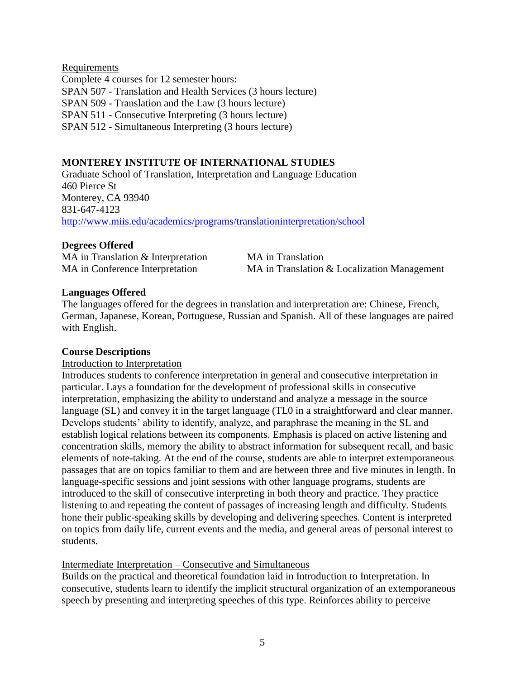## Requirements

Complete 4 courses for 12 semester hours: SPAN 507 - Translation and Health Services (3 hours lecture) SPAN 509 - Translation and the Law (3 hours lecture) SPAN 511 - Consecutive Interpreting (3 hours lecture) SPAN 512 - Simultaneous Interpreting (3 hours lecture)

#### **MONTEREY INSTITUTE OF INTERNATIONAL STUDIES**

Graduate School of Translation, Interpretation and Language Education 460 Pierce St Monterey, CA 93940 831-647-4123 <http://www.miis.edu/academics/programs/translationinterpretation/school>

#### **Degrees Offered**

MA in Translation & Interpretation MA in Translation

MA in Conference Interpretation MA in Translation & Localization Management

#### **Languages Offered**

The languages offered for the degrees in translation and interpretation are: Chinese, French, German, Japanese, Korean, Portuguese, Russian and Spanish. All of these languages are paired with English.

#### **Course Descriptions**

#### Introduction to Interpretation

Introduces students to conference interpretation in general and consecutive interpretation in particular. Lays a foundation for the development of professional skills in consecutive interpretation, emphasizing the ability to understand and analyze a message in the source language (SL) and convey it in the target language (TL0 in a straightforward and clear manner. Develops students' ability to identify, analyze, and paraphrase the meaning in the SL and establish logical relations between its components. Emphasis is placed on active listening and concentration skills, memory the ability to abstract information for subsequent recall, and basic elements of note-taking. At the end of the course, students are able to interpret extemporaneous passages that are on topics familiar to them and are between three and five minutes in length. In language-specific sessions and joint sessions with other language programs, students are introduced to the skill of consecutive interpreting in both theory and practice. They practice listening to and repeating the content of passages of increasing length and difficulty. Students hone their public-speaking skills by developing and delivering speeches. Content is interpreted on topics from daily life, current events and the media, and general areas of personal interest to students.

#### Intermediate Interpretation – Consecutive and Simultaneous

Builds on the practical and theoretical foundation laid in Introduction to Interpretation. In consecutive, students learn to identify the implicit structural organization of an extemporaneous speech by presenting and interpreting speeches of this type. Reinforces ability to perceive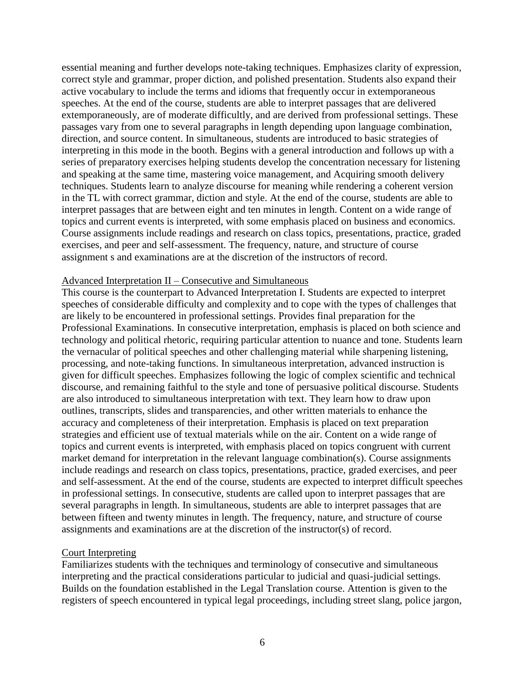essential meaning and further develops note-taking techniques. Emphasizes clarity of expression, correct style and grammar, proper diction, and polished presentation. Students also expand their active vocabulary to include the terms and idioms that frequently occur in extemporaneous speeches. At the end of the course, students are able to interpret passages that are delivered extemporaneously, are of moderate difficultly, and are derived from professional settings. These passages vary from one to several paragraphs in length depending upon language combination, direction, and source content. In simultaneous, students are introduced to basic strategies of interpreting in this mode in the booth. Begins with a general introduction and follows up with a series of preparatory exercises helping students develop the concentration necessary for listening and speaking at the same time, mastering voice management, and Acquiring smooth delivery techniques. Students learn to analyze discourse for meaning while rendering a coherent version in the TL with correct grammar, diction and style. At the end of the course, students are able to interpret passages that are between eight and ten minutes in length. Content on a wide range of topics and current events is interpreted, with some emphasis placed on business and economics. Course assignments include readings and research on class topics, presentations, practice, graded exercises, and peer and self-assessment. The frequency, nature, and structure of course assignment s and examinations are at the discretion of the instructors of record.

#### Advanced Interpretation II – Consecutive and Simultaneous

This course is the counterpart to Advanced Interpretation I. Students are expected to interpret speeches of considerable difficulty and complexity and to cope with the types of challenges that are likely to be encountered in professional settings. Provides final preparation for the Professional Examinations. In consecutive interpretation, emphasis is placed on both science and technology and political rhetoric, requiring particular attention to nuance and tone. Students learn the vernacular of political speeches and other challenging material while sharpening listening, processing, and note-taking functions. In simultaneous interpretation, advanced instruction is given for difficult speeches. Emphasizes following the logic of complex scientific and technical discourse, and remaining faithful to the style and tone of persuasive political discourse. Students are also introduced to simultaneous interpretation with text. They learn how to draw upon outlines, transcripts, slides and transparencies, and other written materials to enhance the accuracy and completeness of their interpretation. Emphasis is placed on text preparation strategies and efficient use of textual materials while on the air. Content on a wide range of topics and current events is interpreted, with emphasis placed on topics congruent with current market demand for interpretation in the relevant language combination(s). Course assignments include readings and research on class topics, presentations, practice, graded exercises, and peer and self-assessment. At the end of the course, students are expected to interpret difficult speeches in professional settings. In consecutive, students are called upon to interpret passages that are several paragraphs in length. In simultaneous, students are able to interpret passages that are between fifteen and twenty minutes in length. The frequency, nature, and structure of course assignments and examinations are at the discretion of the instructor(s) of record.

#### Court Interpreting

Familiarizes students with the techniques and terminology of consecutive and simultaneous interpreting and the practical considerations particular to judicial and quasi-judicial settings. Builds on the foundation established in the Legal Translation course. Attention is given to the registers of speech encountered in typical legal proceedings, including street slang, police jargon,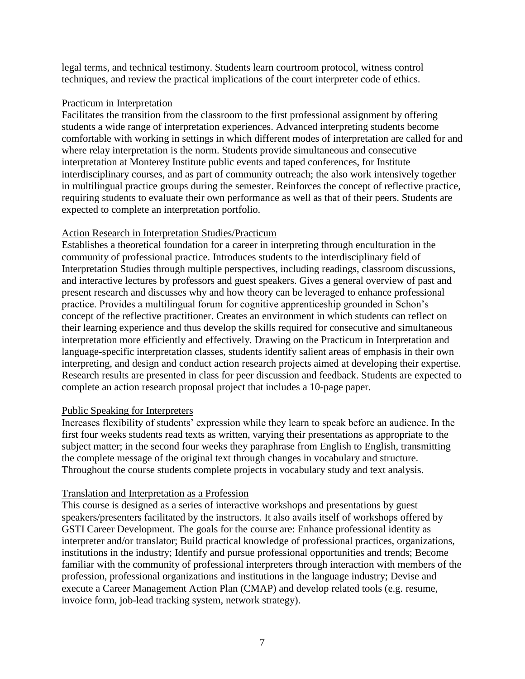legal terms, and technical testimony. Students learn courtroom protocol, witness control techniques, and review the practical implications of the court interpreter code of ethics.

#### Practicum in Interpretation

Facilitates the transition from the classroom to the first professional assignment by offering students a wide range of interpretation experiences. Advanced interpreting students become comfortable with working in settings in which different modes of interpretation are called for and where relay interpretation is the norm. Students provide simultaneous and consecutive interpretation at Monterey Institute public events and taped conferences, for Institute interdisciplinary courses, and as part of community outreach; the also work intensively together in multilingual practice groups during the semester. Reinforces the concept of reflective practice, requiring students to evaluate their own performance as well as that of their peers. Students are expected to complete an interpretation portfolio.

#### Action Research in Interpretation Studies/Practicum

Establishes a theoretical foundation for a career in interpreting through enculturation in the community of professional practice. Introduces students to the interdisciplinary field of Interpretation Studies through multiple perspectives, including readings, classroom discussions, and interactive lectures by professors and guest speakers. Gives a general overview of past and present research and discusses why and how theory can be leveraged to enhance professional practice. Provides a multilingual forum for cognitive apprenticeship grounded in Schon's concept of the reflective practitioner. Creates an environment in which students can reflect on their learning experience and thus develop the skills required for consecutive and simultaneous interpretation more efficiently and effectively. Drawing on the Practicum in Interpretation and language-specific interpretation classes, students identify salient areas of emphasis in their own interpreting, and design and conduct action research projects aimed at developing their expertise. Research results are presented in class for peer discussion and feedback. Students are expected to complete an action research proposal project that includes a 10-page paper.

#### Public Speaking for Interpreters

Increases flexibility of students' expression while they learn to speak before an audience. In the first four weeks students read texts as written, varying their presentations as appropriate to the subject matter; in the second four weeks they paraphrase from English to English, transmitting the complete message of the original text through changes in vocabulary and structure. Throughout the course students complete projects in vocabulary study and text analysis.

## Translation and Interpretation as a Profession

This course is designed as a series of interactive workshops and presentations by guest speakers/presenters facilitated by the instructors. It also avails itself of workshops offered by GSTI Career Development. The goals for the course are: Enhance professional identity as interpreter and/or translator; Build practical knowledge of professional practices, organizations, institutions in the industry; Identify and pursue professional opportunities and trends; Become familiar with the community of professional interpreters through interaction with members of the profession, professional organizations and institutions in the language industry; Devise and execute a Career Management Action Plan (CMAP) and develop related tools (e.g. resume, invoice form, job-lead tracking system, network strategy).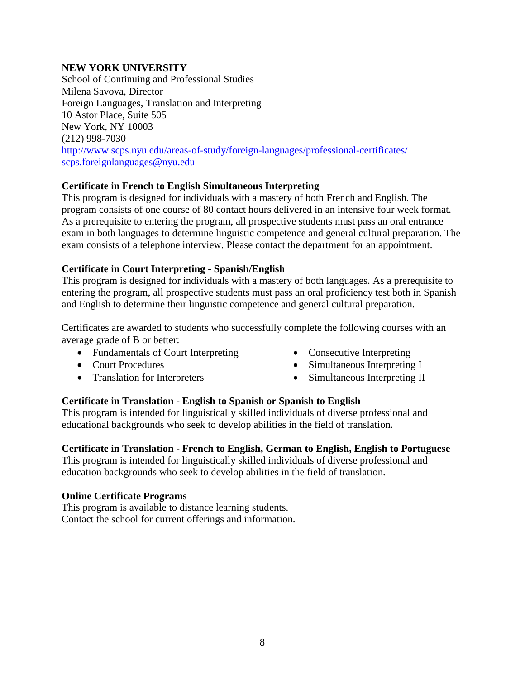#### **NEW YORK UNIVERSITY**

School of Continuing and Professional Studies Milena Savova, Director Foreign Languages, Translation and Interpreting 10 Astor Place, Suite 505 New York, NY 10003 (212) 998-7030 <http://www.scps.nyu.edu/areas-of-study/foreign-languages/professional-certificates/> [scps.foreignlanguages@nyu.edu](mailto:scps.foreignlanguages@nyu.edu)

#### **Certificate in French to English Simultaneous Interpreting**

This program is designed for individuals with a mastery of both French and English. The program consists of one course of 80 contact hours delivered in an intensive four week format. As a prerequisite to entering the program, all prospective students must pass an oral entrance exam in both languages to determine linguistic competence and general cultural preparation. The exam consists of a telephone interview. Please contact the department for an appointment.

#### **Certificate in Court Interpreting - Spanish/English**

This program is designed for individuals with a mastery of both languages. As a prerequisite to entering the program, all prospective students must pass an oral proficiency test both in Spanish and English to determine their linguistic competence and general cultural preparation.

Certificates are awarded to students who successfully complete the following courses with an average grade of B or better:

- Fundamentals of Court Interpreting
- Court Procedures
- Translation for Interpreters
- Consecutive Interpreting
- Simultaneous Interpreting I
- Simultaneous Interpreting II

## **Certificate in Translation - English to Spanish or Spanish to English**

This program is intended for linguistically skilled individuals of diverse professional and educational backgrounds who seek to develop abilities in the field of translation.

#### **Certificate in Translation - French to English, German to English, English to Portuguese**

This program is intended for linguistically skilled individuals of diverse professional and education backgrounds who seek to develop abilities in the field of translation.

#### **Online Certificate Programs**

This program is available to distance learning students. Contact the school for current offerings and information.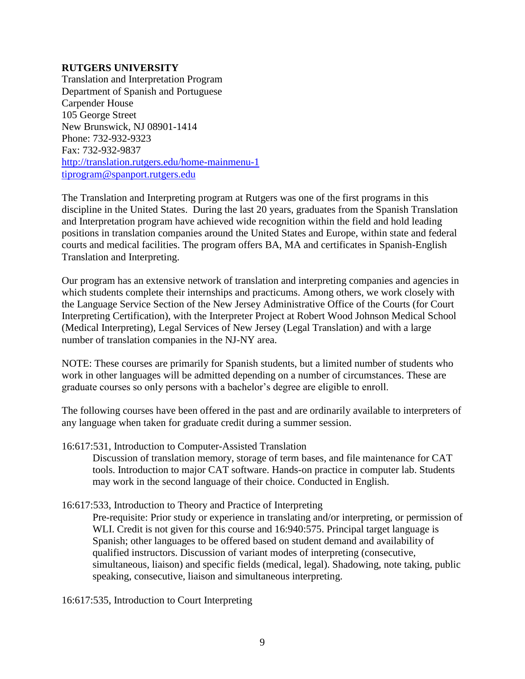#### **RUTGERS UNIVERSITY**

Translation and Interpretation Program Department of Spanish and Portuguese Carpender House 105 George Street New Brunswick, NJ 08901-1414 Phone: 732-932-9323 Fax: 732-932-9837 <http://translation.rutgers.edu/home-mainmenu-1> [tiprogram@spanport.rutgers.edu](mailto:tiprogram@spanport.rutgers.edu)

The Translation and Interpreting program at Rutgers was one of the first programs in this discipline in the United States. During the last 20 years, graduates from the Spanish Translation and Interpretation program have achieved wide recognition within the field and hold leading positions in translation companies around the United States and Europe, within state and federal courts and medical facilities. The program offers BA, MA and certificates in Spanish-English Translation and Interpreting.

Our program has an extensive network of translation and interpreting companies and agencies in which students complete their internships and practicums. Among others, we work closely with the Language Service Section of the New Jersey Administrative Office of the Courts (for Court Interpreting Certification), with the Interpreter Project at Robert Wood Johnson Medical School (Medical Interpreting), Legal Services of New Jersey (Legal Translation) and with a large number of translation companies in the NJ-NY area.

NOTE: These courses are primarily for Spanish students, but a limited number of students who work in other languages will be admitted depending on a number of circumstances. These are graduate courses so only persons with a bachelor's degree are eligible to enroll.

The following courses have been offered in the past and are ordinarily available to interpreters of any language when taken for graduate credit during a summer session.

16:617:531, Introduction to Computer-Assisted Translation

Discussion of translation memory, storage of term bases, and file maintenance for CAT tools. Introduction to major CAT software. Hands-on practice in computer lab. Students may work in the second language of their choice. Conducted in English.

16:617:533, Introduction to Theory and Practice of Interpreting

Pre-requisite: Prior study or experience in translating and/or interpreting, or permission of WLI. Credit is not given for this course and 16:940:575. Principal target language is Spanish; other languages to be offered based on student demand and availability of qualified instructors. Discussion of variant modes of interpreting (consecutive, simultaneous, liaison) and specific fields (medical, legal). Shadowing, note taking, public speaking, consecutive, liaison and simultaneous interpreting.

16:617:535, Introduction to Court Interpreting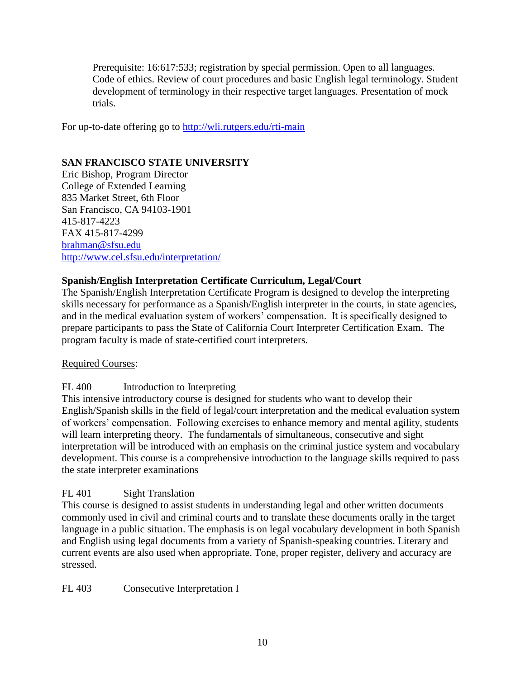Prerequisite: 16:617:533; registration by special permission. Open to all languages. Code of ethics. Review of court procedures and basic English legal terminology. Student development of terminology in their respective target languages. Presentation of mock trials.

For up-to-date offering go to<http://wli.rutgers.edu/rti-main>

## **SAN FRANCISCO STATE UNIVERSITY**

Eric Bishop, Program Director College of Extended Learning 835 Market Street, 6th Floor San Francisco, CA 94103-1901 415-817-4223 FAX 415-817-4299 [brahman@sfsu.edu](mailto:brahman@sfsu.edu)  <http://www.cel.sfsu.edu/interpretation/>

## **Spanish/English Interpretation Certificate Curriculum, Legal/Court**

The Spanish/English Interpretation Certificate Program is designed to develop the interpreting skills necessary for performance as a Spanish/English interpreter in the courts, in state agencies, and in the medical evaluation system of workers' compensation. It is specifically designed to prepare participants to pass the State of California Court Interpreter Certification Exam. The program faculty is made of state-certified court interpreters.

## Required Courses:

## FL 400 Introduction to Interpreting

This intensive introductory course is designed for students who want to develop their English/Spanish skills in the field of legal/court interpretation and the medical evaluation system of workers' compensation. Following exercises to enhance memory and mental agility, students will learn interpreting theory. The fundamentals of simultaneous, consecutive and sight interpretation will be introduced with an emphasis on the criminal justice system and vocabulary development. This course is a comprehensive introduction to the language skills required to pass the state interpreter examinations

## FL 401 Sight Translation

This course is designed to assist students in understanding legal and other written documents commonly used in civil and criminal courts and to translate these documents orally in the target language in a public situation. The emphasis is on legal vocabulary development in both Spanish and English using legal documents from a variety of Spanish-speaking countries. Literary and current events are also used when appropriate. Tone, proper register, delivery and accuracy are stressed.

FL 403 Consecutive Interpretation I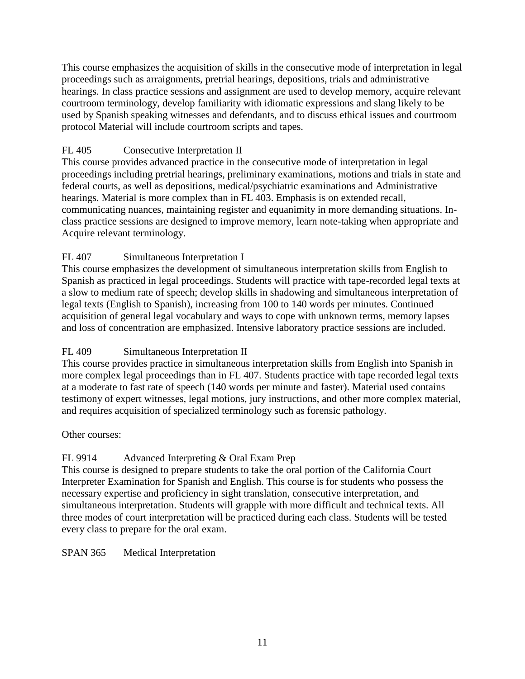This course emphasizes the acquisition of skills in the consecutive mode of interpretation in legal proceedings such as arraignments, pretrial hearings, depositions, trials and administrative hearings. In class practice sessions and assignment are used to develop memory, acquire relevant courtroom terminology, develop familiarity with idiomatic expressions and slang likely to be used by Spanish speaking witnesses and defendants, and to discuss ethical issues and courtroom protocol Material will include courtroom scripts and tapes.

## FL 405 Consecutive Interpretation II

This course provides advanced practice in the consecutive mode of interpretation in legal proceedings including pretrial hearings, preliminary examinations, motions and trials in state and federal courts, as well as depositions, medical/psychiatric examinations and Administrative hearings. Material is more complex than in FL 403. Emphasis is on extended recall, communicating nuances, maintaining register and equanimity in more demanding situations. Inclass practice sessions are designed to improve memory, learn note-taking when appropriate and Acquire relevant terminology.

## FL 407 Simultaneous Interpretation I

This course emphasizes the development of simultaneous interpretation skills from English to Spanish as practiced in legal proceedings. Students will practice with tape-recorded legal texts at a slow to medium rate of speech; develop skills in shadowing and simultaneous interpretation of legal texts (English to Spanish), increasing from 100 to 140 words per minutes. Continued acquisition of general legal vocabulary and ways to cope with unknown terms, memory lapses and loss of concentration are emphasized. Intensive laboratory practice sessions are included.

## FL 409 Simultaneous Interpretation II

This course provides practice in simultaneous interpretation skills from English into Spanish in more complex legal proceedings than in FL 407. Students practice with tape recorded legal texts at a moderate to fast rate of speech (140 words per minute and faster). Material used contains testimony of expert witnesses, legal motions, jury instructions, and other more complex material, and requires acquisition of specialized terminology such as forensic pathology.

## Other courses:

## FL 9914 Advanced Interpreting & Oral Exam Prep

This course is designed to prepare students to take the oral portion of the California Court Interpreter Examination for Spanish and English. This course is for students who possess the necessary expertise and proficiency in sight translation, consecutive interpretation, and simultaneous interpretation. Students will grapple with more difficult and technical texts. All three modes of court interpretation will be practiced during each class. Students will be tested every class to prepare for the oral exam.

## SPAN 365 Medical Interpretation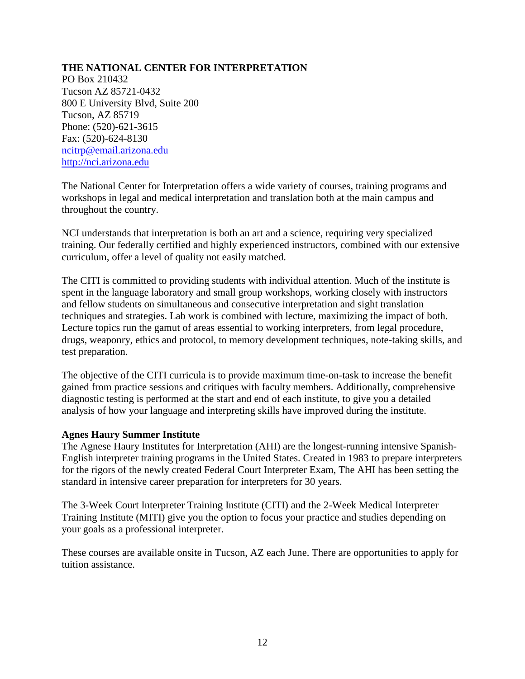## **THE NATIONAL CENTER FOR INTERPRETATION**

PO Box 210432 Tucson AZ 85721-0432 800 E University Blvd, Suite 200 Tucson, AZ 85719 Phone: (520)-621-3615 Fax: (520)-624-8130 [ncitrp@email.arizona.edu](mailto:ncitrp@email.arizona.edu)  [http://nci.arizona.edu](http://nci.arizona.edu/) 

The National Center for Interpretation offers a wide variety of courses, training programs and workshops in legal and medical interpretation and translation both at the main campus and throughout the country.

NCI understands that interpretation is both an art and a science, requiring very specialized training. Our federally certified and highly experienced instructors, combined with our extensive curriculum, offer a level of quality not easily matched.

The CITI is committed to providing students with individual attention. Much of the institute is spent in the language laboratory and small group workshops, working closely with instructors and fellow students on simultaneous and consecutive interpretation and sight translation techniques and strategies. Lab work is combined with lecture, maximizing the impact of both. Lecture topics run the gamut of areas essential to working interpreters, from legal procedure, drugs, weaponry, ethics and protocol, to memory development techniques, note-taking skills, and test preparation.

The objective of the CITI curricula is to provide maximum time-on-task to increase the benefit gained from practice sessions and critiques with faculty members. Additionally, comprehensive diagnostic testing is performed at the start and end of each institute, to give you a detailed analysis of how your language and interpreting skills have improved during the institute.

#### **Agnes Haury Summer Institute**

The Agnese Haury Institutes for Interpretation (AHI) are the longest-running intensive Spanish-English interpreter training programs in the United States. Created in 1983 to prepare interpreters for the rigors of the newly created Federal Court Interpreter Exam, The AHI has been setting the standard in intensive career preparation for interpreters for 30 years.

The 3-Week Court Interpreter Training Institute (CITI) and the 2-Week Medical Interpreter Training Institute (MITI) give you the option to focus your practice and studies depending on your goals as a professional interpreter.

These courses are available onsite in Tucson, AZ each June. There are opportunities to apply for tuition assistance.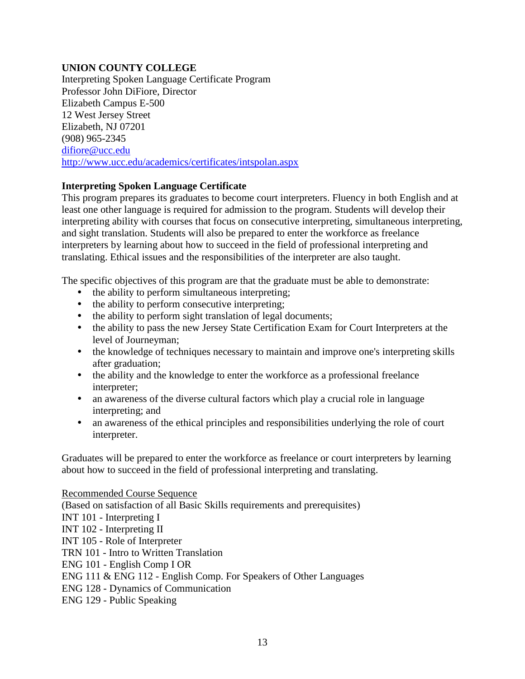## **UNION COUNTY COLLEGE**

Interpreting Spoken Language Certificate Program Professor John DiFiore, Director Elizabeth Campus E-500 12 West Jersey Street Elizabeth, NJ 07201 (908) 965-2345 [difiore@ucc.edu](mailto:difiore@ucc.edu) <http://www.ucc.edu/academics/certificates/intspolan.aspx>

## **Interpreting Spoken Language Certificate**

This program prepares its graduates to become court interpreters. Fluency in both English and at least one other language is required for admission to the program. Students will develop their interpreting ability with courses that focus on consecutive interpreting, simultaneous interpreting, and sight translation. Students will also be prepared to enter the workforce as freelance interpreters by learning about how to succeed in the field of professional interpreting and translating. Ethical issues and the responsibilities of the interpreter are also taught.

The specific objectives of this program are that the graduate must be able to demonstrate:

- the ability to perform simultaneous interpreting;
- the ability to perform consecutive interpreting;
- the ability to perform sight translation of legal documents;
- the ability to pass the new Jersey State Certification Exam for Court Interpreters at the level of Journeyman;
- the knowledge of techniques necessary to maintain and improve one's interpreting skills after graduation;
- the ability and the knowledge to enter the workforce as a professional freelance interpreter;
- an awareness of the diverse cultural factors which play a crucial role in language interpreting; and
- an awareness of the ethical principles and responsibilities underlying the role of court interpreter.

Graduates will be prepared to enter the workforce as freelance or court interpreters by learning about how to succeed in the field of professional interpreting and translating.

#### Recommended Course Sequence

(Based on satisfaction of all Basic Skills requirements and prerequisites)

INT 101 - Interpreting I

INT 102 - Interpreting II

INT 105 - Role of Interpreter

TRN 101 - Intro to Written Translation

ENG 101 - English Comp I OR

ENG 111 & ENG 112 - English Comp. For Speakers of Other Languages

ENG 128 - Dynamics of Communication

ENG 129 - Public Speaking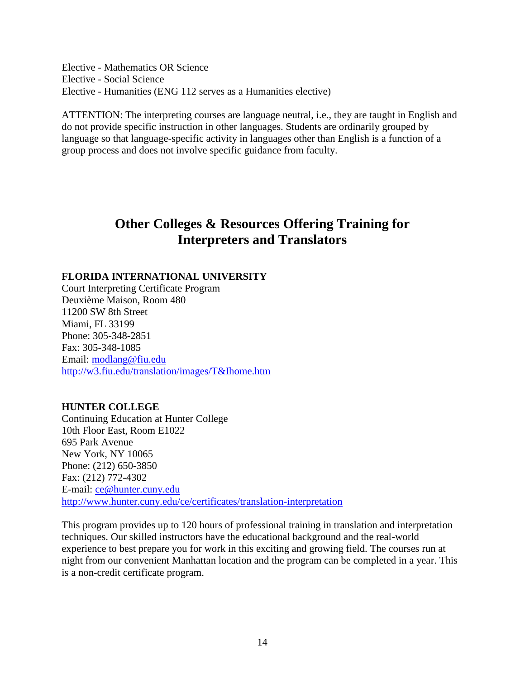Elective - Mathematics OR Science Elective - Social Science Elective - Humanities (ENG 112 serves as a Humanities elective)

ATTENTION: The interpreting courses are language neutral, i.e., they are taught in English and do not provide specific instruction in other languages. Students are ordinarily grouped by language so that language-specific activity in languages other than English is a function of a group process and does not involve specific guidance from faculty.

# **Other Colleges & Resources Offering Training for Interpreters and Translators**

## **FLORIDA INTERNATIONAL UNIVERSITY**

Court Interpreting Certificate Program Deuxième Maison, Room 480 11200 SW 8th Street Miami, FL 33199 Phone: 305-348-2851 Fax: 305-348-1085 Email: [modlang@fiu.edu](mailto:modlang@fiu.edu) <http://w3.fiu.edu/translation/images/T&Ihome.htm>

## **HUNTER COLLEGE**

Continuing Education at Hunter College 10th Floor East, Room E1022 695 Park Avenue New York, NY 10065 Phone: (212) 650-3850 Fax: (212) 772-4302 E-mail: [ce@hunter.cuny.edu](mailto:ce@hunter.cuny.edu) <http://www.hunter.cuny.edu/ce/certificates/translation-interpretation>

This program provides up to 120 hours of professional training in translation and interpretation techniques. Our skilled instructors have the educational background and the real-world experience to best prepare you for work in this exciting and growing field. The courses run at night from our convenient Manhattan location and the program can be completed in a year. This is a non-credit certificate program.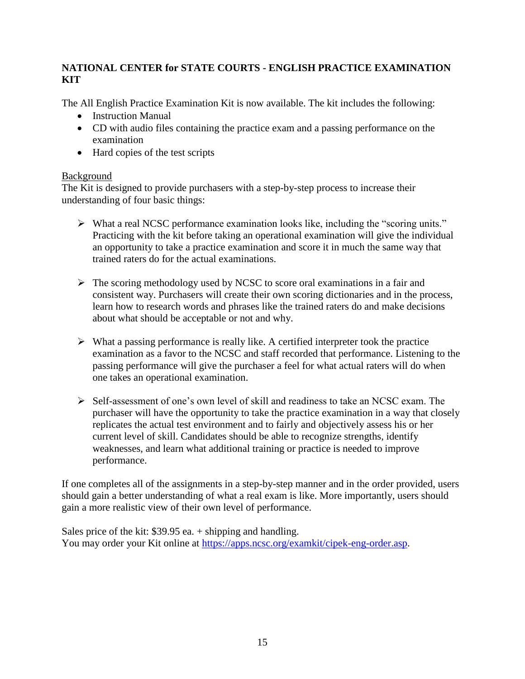## **NATIONAL CENTER for STATE COURTS - ENGLISH PRACTICE EXAMINATION KIT**

The All English Practice Examination Kit is now available. The kit includes the following:

- Instruction Manual
- CD with audio files containing the practice exam and a passing performance on the examination
- Hard copies of the test scripts

## Background

The Kit is designed to provide purchasers with a step-by-step process to increase their understanding of four basic things:

- $\triangleright$  What a real NCSC performance examination looks like, including the "scoring units." Practicing with the kit before taking an operational examination will give the individual an opportunity to take a practice examination and score it in much the same way that trained raters do for the actual examinations.
- $\triangleright$  The scoring methodology used by NCSC to score oral examinations in a fair and consistent way. Purchasers will create their own scoring dictionaries and in the process, learn how to research words and phrases like the trained raters do and make decisions about what should be acceptable or not and why.
- $\triangleright$  What a passing performance is really like. A certified interpreter took the practice examination as a favor to the NCSC and staff recorded that performance. Listening to the passing performance will give the purchaser a feel for what actual raters will do when one takes an operational examination.
- $\triangleright$  Self-assessment of one's own level of skill and readiness to take an NCSC exam. The purchaser will have the opportunity to take the practice examination in a way that closely replicates the actual test environment and to fairly and objectively assess his or her current level of skill. Candidates should be able to recognize strengths, identify weaknesses, and learn what additional training or practice is needed to improve performance.

If one completes all of the assignments in a step-by-step manner and in the order provided, users should gain a better understanding of what a real exam is like. More importantly, users should gain a more realistic view of their own level of performance.

Sales price of the kit: \$39.95 ea. + shipping and handling. You may order your Kit online at [https://apps.ncsc.org/examkit/cipek-eng-order.asp.](https://apps.ncsc.org/examkit/cipek-eng-order.asp)